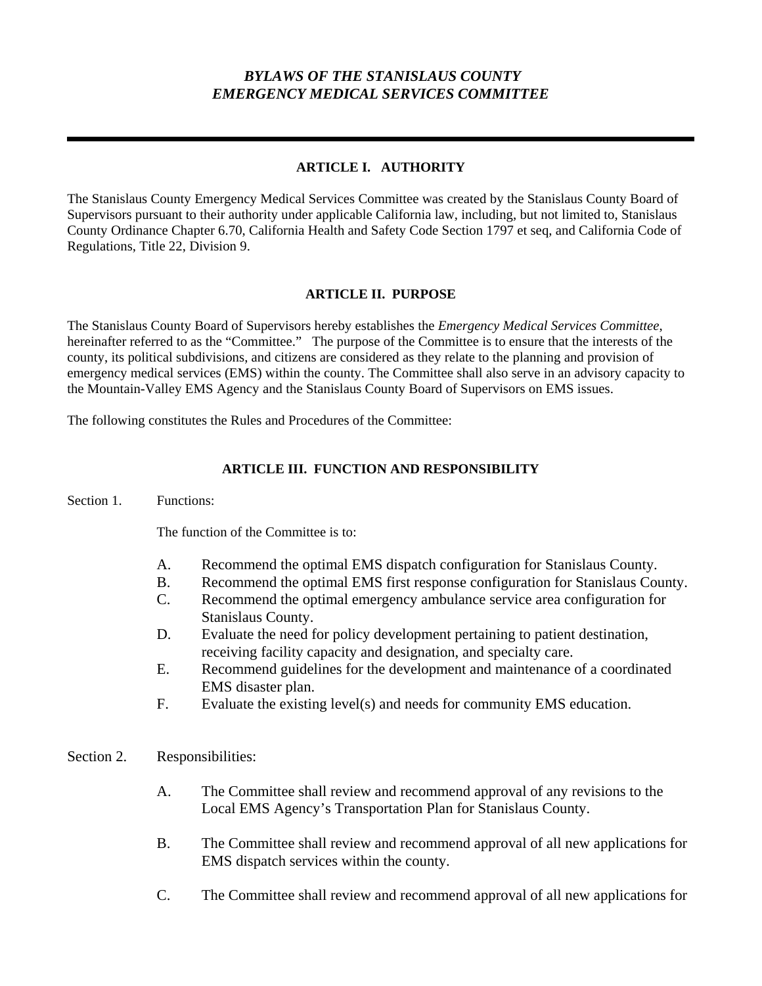## *BYLAWS OF THE STANISLAUS COUNTY EMERGENCY MEDICAL SERVICES COMMITTEE*

### **ARTICLE I. AUTHORITY**

The Stanislaus County Emergency Medical Services Committee was created by the Stanislaus County Board of Supervisors pursuant to their authority under applicable California law, including, but not limited to, Stanislaus County Ordinance Chapter 6.70, California Health and Safety Code Section 1797 et seq, and California Code of Regulations, Title 22, Division 9.

#### **ARTICLE II. PURPOSE**

The Stanislaus County Board of Supervisors hereby establishes the *Emergency Medical Services Committee*, hereinafter referred to as the "Committee." The purpose of the Committee is to ensure that the interests of the county, its political subdivisions, and citizens are considered as they relate to the planning and provision of emergency medical services (EMS) within the county. The Committee shall also serve in an advisory capacity to the Mountain-Valley EMS Agency and the Stanislaus County Board of Supervisors on EMS issues.

The following constitutes the Rules and Procedures of the Committee:

#### **ARTICLE III. FUNCTION AND RESPONSIBILITY**

Section 1. Functions:

The function of the Committee is to:

- A. Recommend the optimal EMS dispatch configuration for Stanislaus County.
- B. Recommend the optimal EMS first response configuration for Stanislaus County.
- C. Recommend the optimal emergency ambulance service area configuration for Stanislaus County.
- D. Evaluate the need for policy development pertaining to patient destination, receiving facility capacity and designation, and specialty care.
- E. Recommend guidelines for the development and maintenance of a coordinated EMS disaster plan.
- F. Evaluate the existing level(s) and needs for community EMS education.
- Section 2. Responsibilities:
	- A. The Committee shall review and recommend approval of any revisions to the Local EMS Agency's Transportation Plan for Stanislaus County.
	- B. The Committee shall review and recommend approval of all new applications for EMS dispatch services within the county.
	- C. The Committee shall review and recommend approval of all new applications for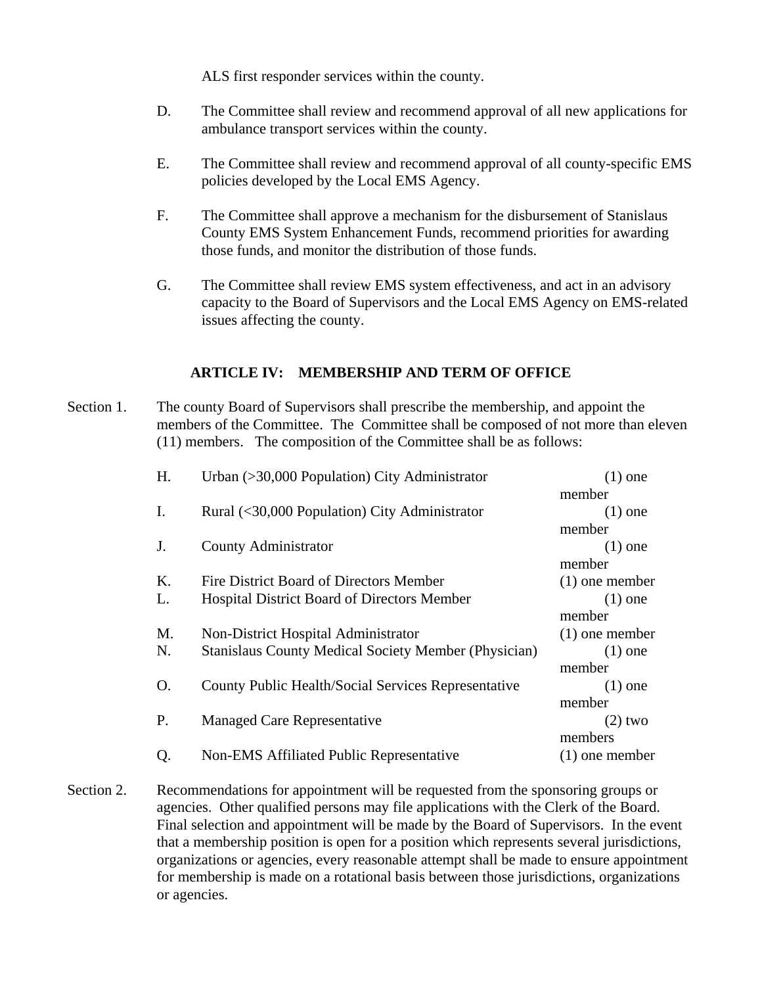ALS first responder services within the county.

- D. The Committee shall review and recommend approval of all new applications for ambulance transport services within the county.
- E. The Committee shall review and recommend approval of all county-specific EMS policies developed by the Local EMS Agency.
- F. The Committee shall approve a mechanism for the disbursement of Stanislaus County EMS System Enhancement Funds, recommend priorities for awarding those funds, and monitor the distribution of those funds.
- G. The Committee shall review EMS system effectiveness, and act in an advisory capacity to the Board of Supervisors and the Local EMS Agency on EMS-related issues affecting the county.

### **ARTICLE IV: MEMBERSHIP AND TERM OF OFFICE**

Section 1. The county Board of Supervisors shall prescribe the membership, and appoint the members of the Committee. The Committee shall be composed of not more than eleven (11) members. The composition of the Committee shall be as follows:

| H. | Urban (>30,000 Population) City Administrator               | $(1)$ one        |
|----|-------------------------------------------------------------|------------------|
|    |                                                             | member           |
| I. | Rural (<30,000 Population) City Administrator               | $(1)$ one        |
|    |                                                             | member           |
| J. | County Administrator                                        | $(1)$ one        |
|    |                                                             | member           |
| Κ. | Fire District Board of Directors Member                     | $(1)$ one member |
| L. | Hospital District Board of Directors Member                 | $(1)$ one        |
|    |                                                             | member           |
| М. | Non-District Hospital Administrator                         | $(1)$ one member |
| N. | <b>Stanislaus County Medical Society Member (Physician)</b> | $(1)$ one        |
|    |                                                             | member           |
| Ο. | County Public Health/Social Services Representative         | $(1)$ one        |
|    |                                                             | member           |
| P. | Managed Care Representative                                 | $(2)$ two        |
|    |                                                             | members          |
| Q. | Non-EMS Affiliated Public Representative                    | $(1)$ one member |
|    |                                                             |                  |

Section 2. Recommendations for appointment will be requested from the sponsoring groups or agencies. Other qualified persons may file applications with the Clerk of the Board. Final selection and appointment will be made by the Board of Supervisors. In the event that a membership position is open for a position which represents several jurisdictions, organizations or agencies, every reasonable attempt shall be made to ensure appointment for membership is made on a rotational basis between those jurisdictions, organizations or agencies.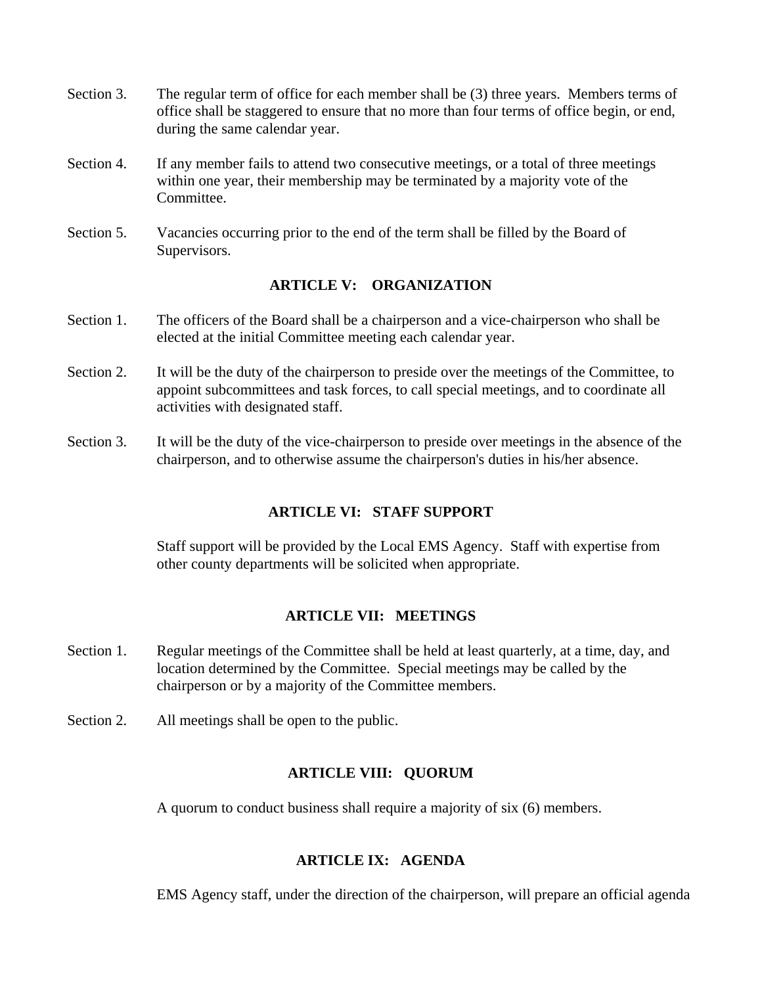- Section 3. The regular term of office for each member shall be (3) three years. Members terms of office shall be staggered to ensure that no more than four terms of office begin, or end, during the same calendar year.
- Section 4. If any member fails to attend two consecutive meetings, or a total of three meetings within one year, their membership may be terminated by a majority vote of the Committee.
- Section 5. Vacancies occurring prior to the end of the term shall be filled by the Board of Supervisors.

#### **ARTICLE V: ORGANIZATION**

- Section 1. The officers of the Board shall be a chairperson and a vice-chairperson who shall be elected at the initial Committee meeting each calendar year.
- Section 2. It will be the duty of the chairperson to preside over the meetings of the Committee, to appoint subcommittees and task forces, to call special meetings, and to coordinate all activities with designated staff.
- Section 3. It will be the duty of the vice-chairperson to preside over meetings in the absence of the chairperson, and to otherwise assume the chairperson's duties in his/her absence.

#### **ARTICLE VI: STAFF SUPPORT**

Staff support will be provided by the Local EMS Agency. Staff with expertise from other county departments will be solicited when appropriate.

### **ARTICLE VII: MEETINGS**

- Section 1. Regular meetings of the Committee shall be held at least quarterly, at a time, day, and location determined by the Committee. Special meetings may be called by the chairperson or by a majority of the Committee members.
- Section 2. All meetings shall be open to the public.

#### **ARTICLE VIII: QUORUM**

A quorum to conduct business shall require a majority of six (6) members.

#### **ARTICLE IX: AGENDA**

EMS Agency staff, under the direction of the chairperson, will prepare an official agenda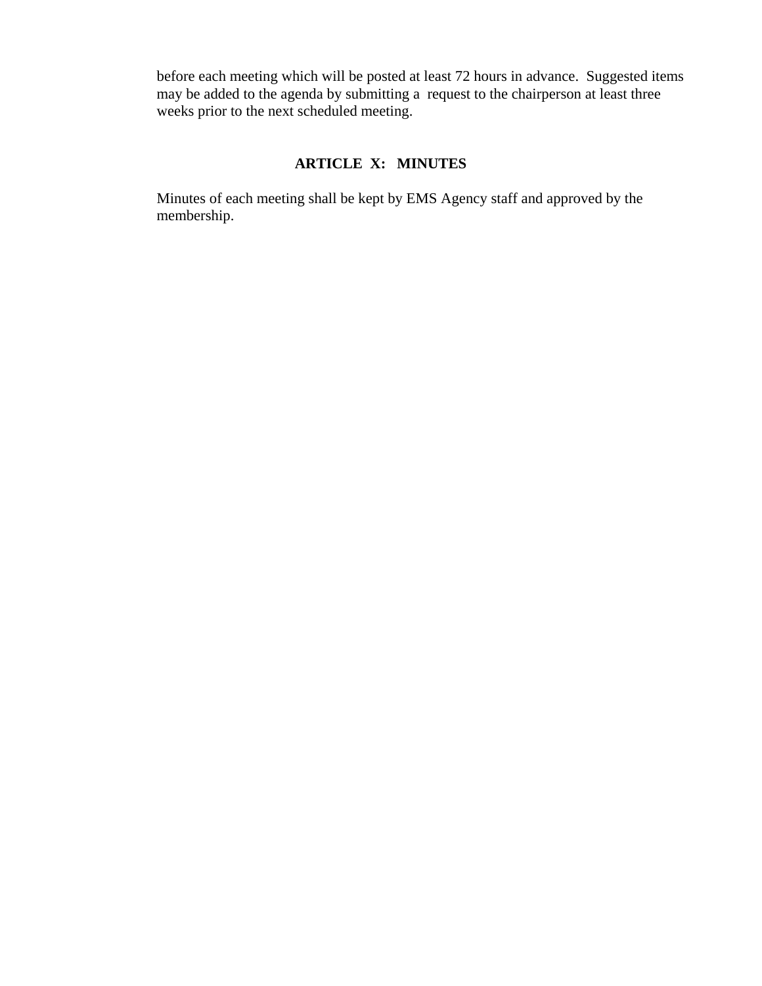before each meeting which will be posted at least 72 hours in advance. Suggested items may be added to the agenda by submitting a request to the chairperson at least three weeks prior to the next scheduled meeting.

# **ARTICLE X: MINUTES**

Minutes of each meeting shall be kept by EMS Agency staff and approved by the membership.